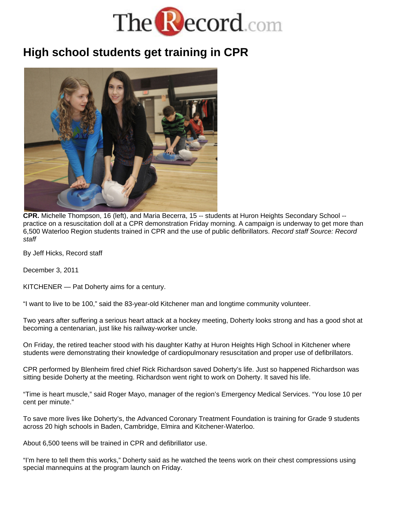

## **High school students get training in CPR**



**CPR.** Michelle Thompson, 16 (left), and Maria Becerra, 15 -- students at Huron Heights Secondary School - practice on a resuscitation doll at a CPR demonstration Friday morning. A campaign is underway to get more than 6,500 Waterloo Region students trained in CPR and the use of public defibrillators. *Record staff Source: Record staff*

By Jeff Hicks, Record staff

December 3, 2011

KITCHENER — Pat Doherty aims for a century.

"I want to live to be 100," said the 83-year-old Kitchener man and longtime community volunteer.

Two years after suffering a serious heart attack at a hockey meeting, Doherty looks strong and has a good shot at becoming a centenarian, just like his railway-worker uncle.

On Friday, the retired teacher stood with his daughter Kathy at Huron Heights High School in Kitchener where students were demonstrating their knowledge of cardiopulmonary resuscitation and proper use of defibrillators.

CPR performed by Blenheim fired chief Rick Richardson saved Doherty's life. Just so happened Richardson was sitting beside Doherty at the meeting. Richardson went right to work on Doherty. It saved his life.

"Time is heart muscle," said Roger Mayo, manager of the region's Emergency Medical Services. "You lose 10 per cent per minute."

To save more lives like Doherty's, the Advanced Coronary Treatment Foundation is training for Grade 9 students across 20 high schools in Baden, Cambridge, Elmira and Kitchener-Waterloo.

About 6,500 teens will be trained in CPR and defibrillator use.

"I'm here to tell them this works," Doherty said as he watched the teens work on their chest compressions using special mannequins at the program launch on Friday.